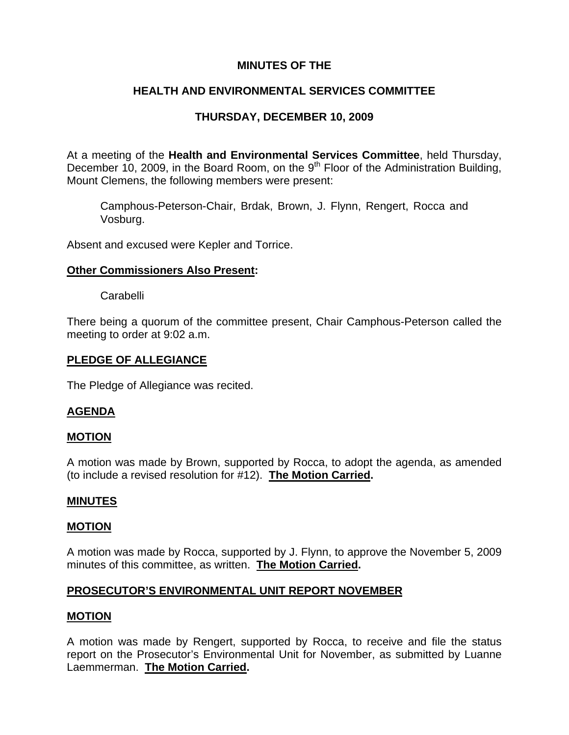# **MINUTES OF THE**

# **HEALTH AND ENVIRONMENTAL SERVICES COMMITTEE**

# **THURSDAY, DECEMBER 10, 2009**

At a meeting of the **Health and Environmental Services Committee**, held Thursday, December 10, 2009, in the Board Room, on the  $9<sup>th</sup>$  Floor of the Administration Building, Mount Clemens, the following members were present:

Camphous-Peterson-Chair, Brdak, Brown, J. Flynn, Rengert, Rocca and Vosburg.

Absent and excused were Kepler and Torrice.

# **Other Commissioners Also Present:**

Carabelli

There being a quorum of the committee present, Chair Camphous-Peterson called the meeting to order at 9:02 a.m.

## **PLEDGE OF ALLEGIANCE**

The Pledge of Allegiance was recited.

## **AGENDA**

## **MOTION**

A motion was made by Brown, supported by Rocca, to adopt the agenda, as amended (to include a revised resolution for #12). **The Motion Carried.** 

## **MINUTES**

## **MOTION**

A motion was made by Rocca, supported by J. Flynn, to approve the November 5, 2009 minutes of this committee, as written. **The Motion Carried.** 

# **PROSECUTOR'S ENVIRONMENTAL UNIT REPORT NOVEMBER**

## **MOTION**

A motion was made by Rengert, supported by Rocca, to receive and file the status report on the Prosecutor's Environmental Unit for November, as submitted by Luanne Laemmerman. **The Motion Carried.**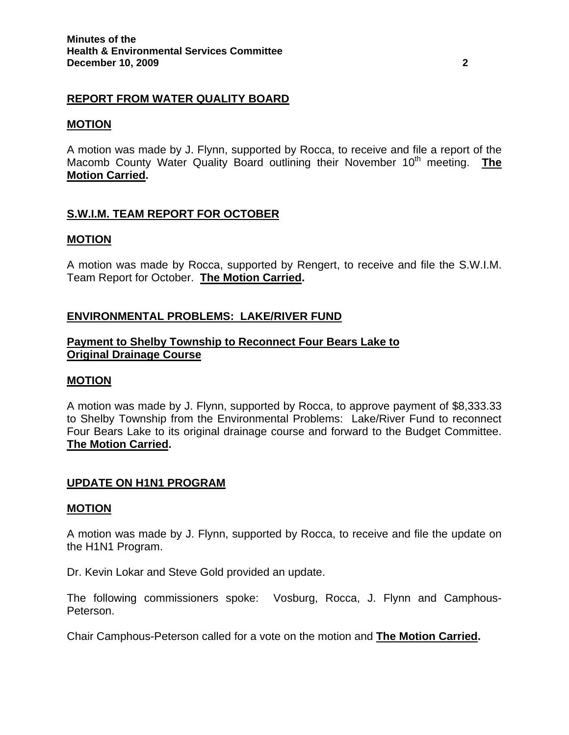# **REPORT FROM WATER QUALITY BOARD**

### **MOTION**

A motion was made by J. Flynn, supported by Rocca, to receive and file a report of the Macomb County Water Quality Board outlining their November 10<sup>th</sup> meeting. **The Motion Carried.** 

# **S.W.I.M. TEAM REPORT FOR OCTOBER**

#### **MOTION**

A motion was made by Rocca, supported by Rengert, to receive and file the S.W.I.M. Team Report for October. **The Motion Carried.** 

# **ENVIRONMENTAL PROBLEMS: LAKE/RIVER FUND**

## **Payment to Shelby Township to Reconnect Four Bears Lake to Original Drainage Course**

#### **MOTION**

A motion was made by J. Flynn, supported by Rocca, to approve payment of \$8,333.33 to Shelby Township from the Environmental Problems: Lake/River Fund to reconnect Four Bears Lake to its original drainage course and forward to the Budget Committee. **The Motion Carried.** 

## **UPDATE ON H1N1 PROGRAM**

#### **MOTION**

A motion was made by J. Flynn, supported by Rocca, to receive and file the update on the H1N1 Program.

Dr. Kevin Lokar and Steve Gold provided an update.

The following commissioners spoke: Vosburg, Rocca, J. Flynn and Camphous-Peterson.

Chair Camphous-Peterson called for a vote on the motion and **The Motion Carried.**